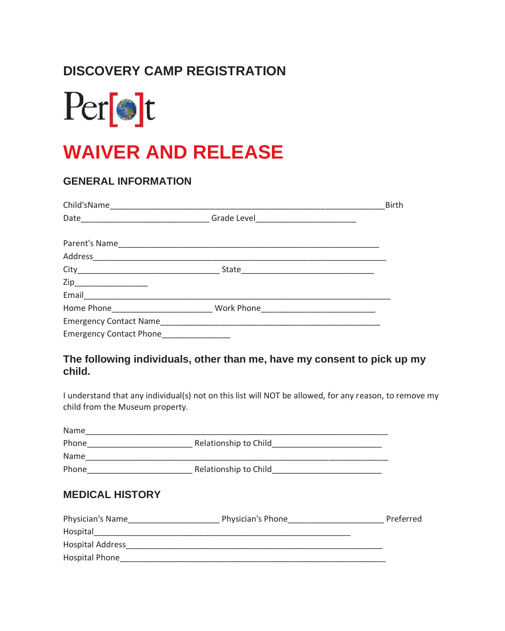# **DISCOVERY CAMP REGISTRATION**



# **WAIVER AND RELEASE**

#### **GENERAL INFORMATION**

|                                                                                                                                                                                                                                |                                                                                  | <b>Birth</b> |
|--------------------------------------------------------------------------------------------------------------------------------------------------------------------------------------------------------------------------------|----------------------------------------------------------------------------------|--------------|
|                                                                                                                                                                                                                                | Date__________________________________Grade Level_______________________________ |              |
|                                                                                                                                                                                                                                |                                                                                  |              |
|                                                                                                                                                                                                                                |                                                                                  |              |
|                                                                                                                                                                                                                                |                                                                                  |              |
| Zip__________________                                                                                                                                                                                                          |                                                                                  |              |
| Email experience and the contract of the contract of the contract of the contract of the contract of the contract of the contract of the contract of the contract of the contract of the contract of the contract of the contr |                                                                                  |              |
|                                                                                                                                                                                                                                |                                                                                  |              |
|                                                                                                                                                                                                                                |                                                                                  |              |
| <b>Emergency Contact Phone</b>                                                                                                                                                                                                 |                                                                                  |              |

#### **The following individuals, other than me, have my consent to pick up my child.**

I understand that any individual(s) not on this list will NOT be allowed, for any reason, to remove my child from the Museum property.

| Name        |                       |
|-------------|-----------------------|
| Phone       | Relationship to Child |
| <b>Name</b> |                       |
| Phone       | Relationship to Child |

#### **MEDICAL HISTORY**

| Physician's Name        | Physician's Phone | Preferred |
|-------------------------|-------------------|-----------|
| Hospital                |                   |           |
| <b>Hospital Address</b> |                   |           |
| <b>Hospital Phone</b>   |                   |           |
|                         |                   |           |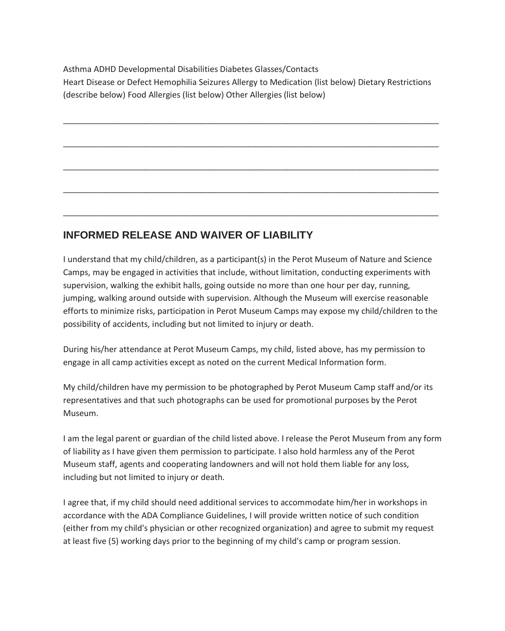Asthma ADHD Developmental Disabilities Diabetes Glasses/Contacts Heart Disease or Defect Hemophilia Seizures Allergy to Medication (list below) Dietary Restrictions (describe below) Food Allergies (list below) Other Allergies (list below)

\_\_\_\_\_\_\_\_\_\_\_\_\_\_\_\_\_\_\_\_\_\_\_\_\_\_\_\_\_\_\_\_\_\_\_\_\_\_\_\_\_\_\_\_\_\_\_\_\_\_\_\_\_\_\_\_\_\_\_\_\_\_\_\_\_\_\_\_\_\_\_\_\_\_\_\_\_\_\_\_\_\_\_\_\_\_

\_\_\_\_\_\_\_\_\_\_\_\_\_\_\_\_\_\_\_\_\_\_\_\_\_\_\_\_\_\_\_\_\_\_\_\_\_\_\_\_\_\_\_\_\_\_\_\_\_\_\_\_\_\_\_\_\_\_\_\_\_\_\_\_\_\_\_\_\_\_\_\_\_\_\_\_\_\_\_\_\_\_\_\_\_\_

\_\_\_\_\_\_\_\_\_\_\_\_\_\_\_\_\_\_\_\_\_\_\_\_\_\_\_\_\_\_\_\_\_\_\_\_\_\_\_\_\_\_\_\_\_\_\_\_\_\_\_\_\_\_\_\_\_\_\_\_\_\_\_\_\_\_\_\_\_\_\_\_\_\_\_\_\_\_\_\_\_\_\_\_\_\_

\_\_\_\_\_\_\_\_\_\_\_\_\_\_\_\_\_\_\_\_\_\_\_\_\_\_\_\_\_\_\_\_\_\_\_\_\_\_\_\_\_\_\_\_\_\_\_\_\_\_\_\_\_\_\_\_\_\_\_\_\_\_\_\_\_\_\_\_\_\_\_\_\_\_\_\_\_\_\_\_\_\_\_\_\_\_

\_\_\_\_\_\_\_\_\_\_\_\_\_\_\_\_\_\_\_\_\_\_\_\_\_\_\_\_\_\_\_\_\_\_\_\_\_\_\_\_\_\_\_\_\_\_\_\_\_\_\_\_\_\_\_\_\_\_\_\_\_\_\_\_\_\_\_\_\_\_\_\_\_\_\_\_\_\_\_\_\_\_\_\_\_\_

### **INFORMED RELEASE AND WAIVER OF LIABILITY**

I understand that my child/children, as a participant(s) in the Perot Museum of Nature and Science Camps, may be engaged in activities that include, without limitation, conducting experiments with supervision, walking the exhibit halls, going outside no more than one hour per day, running, jumping, walking around outside with supervision. Although the Museum will exercise reasonable efforts to minimize risks, participation in Perot Museum Camps may expose my child/children to the possibility of accidents, including but not limited to injury or death.

During his/her attendance at Perot Museum Camps, my child, listed above, has my permission to engage in all camp activities except as noted on the current Medical Information form.

My child/children have my permission to be photographed by Perot Museum Camp staff and/or its representatives and that such photographs can be used for promotional purposes by the Perot Museum.

I am the legal parent or guardian of the child listed above. I release the Perot Museum from any form of liability as I have given them permission to participate. I also hold harmless any of the Perot Museum staff, agents and cooperating landowners and will not hold them liable for any loss, including but not limited to injury or death.

I agree that, if my child should need additional services to accommodate him/her in workshops in accordance with the ADA Compliance Guidelines, I will provide written notice of such condition (either from my child's physician or other recognized organization) and agree to submit my request at least five (5) working days prior to the beginning of my child's camp or program session.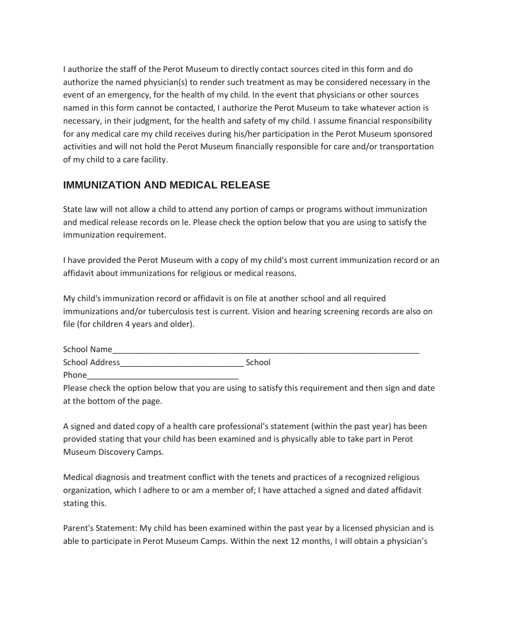I authorize the staff of the Perot Museum to directly contact sources cited in this form and do authorize the named physician(s) to render such treatment as may be considered necessary in the event of an emergency, for the health of my child. In the event that physicians or other sources named in this form cannot be contacted, I authorize the Perot Museum to take whatever action is necessary, in their judgment, for the health and safety of my child. I assume financial responsibility for any medical care my child receives during his/her participation in the Perot Museum sponsored activities and will not hold the Perot Museum financially responsible for care and/or transportation of my child to a care facility.

#### **IMMUNIZATION AND MEDICAL RELEASE**

State law will not allow a child to attend any portion of camps or programs without immunization and medical release records on le. Please check the option below that you are using to satisfy the immunization requirement.

I have provided the Perot Museum with a copy of my child's most current immunization record or an affidavit about immunizations for religious or medical reasons.

My child's immunization record or affidavit is on file at another school and all required immunizations and/or tuberculosis test is current. Vision and hearing screening records are also on file (for children 4 years and older).

| School Nam<br>$-$<br>____ |  |
|---------------------------|--|
| <b>School Address</b>     |  |

Phone

Please check the option below that you are using to satisfy this requirement and then sign and date at the bottom of the page.

A signed and dated copy of a health care professional's statement (within the past year) has been provided stating that your child has been examined and is physically able to take part in Perot Museum Discovery Camps.

Medical diagnosis and treatment conflict with the tenets and practices of a recognized religious organization, which I adhere to or am a member of; I have attached a signed and dated affidavit stating this.

Parent's Statement: My child has been examined within the past year by a licensed physician and is able to participate in Perot Museum Camps. Within the next 12 months, I will obtain a physician's